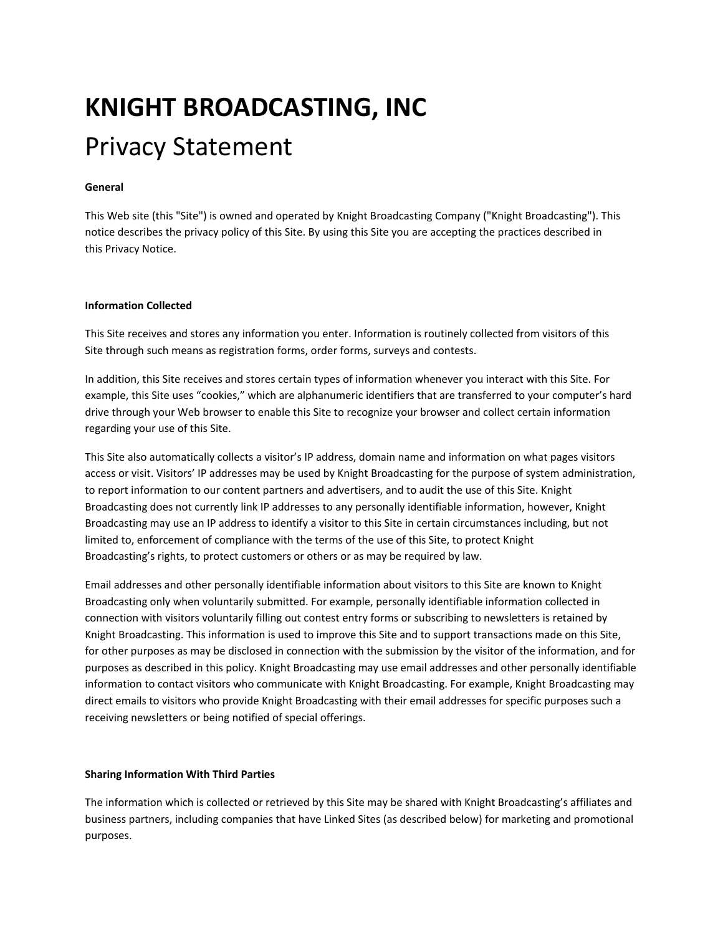# **KNIGHT BROADCASTING, INC** Privacy Statement

## **General**

This Web site (this "Site") is owned and operated by Knight Broadcasting Company ("Knight Broadcasting"). This notice describes the privacy policy of this Site. By using this Site you are accepting the practices described in this Privacy Notice.

#### **Information Collected**

This Site receives and stores any information you enter. Information is routinely collected from visitors of this Site through such means as registration forms, order forms, surveys and contests.

In addition, this Site receives and stores certain types of information whenever you interact with this Site. For example, this Site uses "cookies," which are alphanumeric identifiers that are transferred to your computer's hard drive through your Web browser to enable this Site to recognize your browser and collect certain information regarding your use of this Site.

This Site also automatically collects a visitor's IP address, domain name and information on what pages visitors access or visit. Visitors' IP addresses may be used by Knight Broadcasting for the purpose of system administration, to report information to our content partners and advertisers, and to audit the use of this Site. Knight Broadcasting does not currently link IP addresses to any personally identifiable information, however, Knight Broadcasting may use an IP address to identify a visitor to this Site in certain circumstances including, but not limited to, enforcement of compliance with the terms of the use of this Site, to protect Knight Broadcasting's rights, to protect customers or others or as may be required by law.

Email addresses and other personally identifiable information about visitors to this Site are known to Knight Broadcasting only when voluntarily submitted. For example, personally identifiable information collected in connection with visitors voluntarily filling out contest entry forms or subscribing to newsletters is retained by Knight Broadcasting. This information is used to improve this Site and to support transactions made on this Site, for other purposes as may be disclosed in connection with the submission by the visitor of the information, and for purposes as described in this policy. Knight Broadcasting may use email addresses and other personally identifiable information to contact visitors who communicate with Knight Broadcasting. For example, Knight Broadcasting may direct emails to visitors who provide Knight Broadcasting with their email addresses for specific purposes such a receiving newsletters or being notified of special offerings.

#### **Sharing Information With Third Parties**

The information which is collected or retrieved by this Site may be shared with Knight Broadcasting's affiliates and business partners, including companies that have Linked Sites (as described below) for marketing and promotional purposes.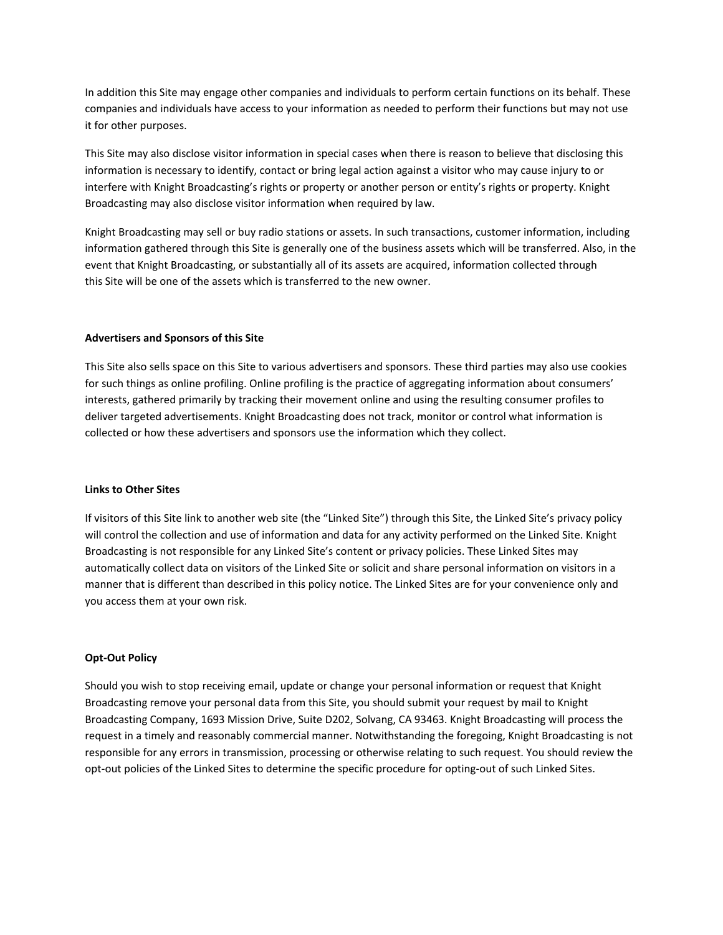In addition this Site may engage other companies and individuals to perform certain functions on its behalf. These companies and individuals have access to your information as needed to perform their functions but may not use it for other purposes.

This Site may also disclose visitor information in special cases when there is reason to believe that disclosing this information is necessary to identify, contact or bring legal action against a visitor who may cause injury to or interfere with Knight Broadcasting's rights or property or another person or entity's rights or property. Knight Broadcasting may also disclose visitor information when required by law.

Knight Broadcasting may sell or buy radio stations or assets. In such transactions, customer information, including information gathered through this Site is generally one of the business assets which will be transferred. Also, in the event that Knight Broadcasting, or substantially all of its assets are acquired, information collected through this Site will be one of the assets which is transferred to the new owner.

#### **Advertisers and Sponsors of this Site**

This Site also sells space on this Site to various advertisers and sponsors. These third parties may also use cookies for such things as online profiling. Online profiling is the practice of aggregating information about consumers' interests, gathered primarily by tracking their movement online and using the resulting consumer profiles to deliver targeted advertisements. Knight Broadcasting does not track, monitor or control what information is collected or how these advertisers and sponsors use the information which they collect.

#### **Links to Other Sites**

If visitors of this Site link to another web site (the "Linked Site") through this Site, the Linked Site's privacy policy will control the collection and use of information and data for any activity performed on the Linked Site. Knight Broadcasting is not responsible for any Linked Site's content or privacy policies. These Linked Sites may automatically collect data on visitors of the Linked Site or solicit and share personal information on visitors in a manner that is different than described in this policy notice. The Linked Sites are for your convenience only and you access them at your own risk.

#### **Opt‐Out Policy**

Should you wish to stop receiving email, update or change your personal information or request that Knight Broadcasting remove your personal data from this Site, you should submit your request by mail to Knight Broadcasting Company, 1693 Mission Drive, Suite D202, Solvang, CA 93463. Knight Broadcasting will process the request in a timely and reasonably commercial manner. Notwithstanding the foregoing, Knight Broadcasting is not responsible for any errors in transmission, processing or otherwise relating to such request. You should review the opt‐out policies of the Linked Sites to determine the specific procedure for opting‐out of such Linked Sites.